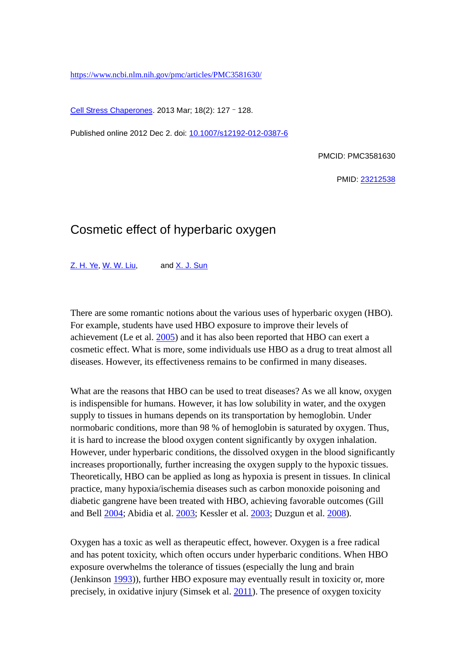<https://www.ncbi.nlm.nih.gov/pmc/articles/PMC3581630/>

[Cell Stress Chaperones.](https://www.ncbi.nlm.nih.gov/pmc/articles/PMC3581630/) 2013 Mar; 18(2): 127–128.

Published online 2012 Dec 2. doi: [10.1007/s12192-012-0387-6](https://dx.doi.org/10.1007/s12192-012-0387-6)

PMCID: PMC3581630

PMID: [23212538](https://www.ncbi.nlm.nih.gov/pubmed/23212538)

## Cosmetic effect of hyperbaric oxygen

[Z. H. Ye,](https://www.ncbi.nlm.nih.gov/pubmed/?term=Ye%20ZH%5bAuthor%5d&cauthor=true&cauthor_uid=23212538) [W. W. Liu,](https://www.ncbi.nlm.nih.gov/pubmed/?term=Liu%20WW%5bAuthor%5d&cauthor=true&cauthor_uid=23212538) and [X. J. Sun](https://www.ncbi.nlm.nih.gov/pubmed/?term=Sun%20XJ%5bAuthor%5d&cauthor=true&cauthor_uid=23212538)

There are some romantic notions about the various uses of hyperbaric oxygen (HBO). For example, students have used HBO exposure to improve their levels of achievement (Le et al. [2005\)](https://www.ncbi.nlm.nih.gov/pmc/articles/PMC3581630/#CR13) and it has also been reported that HBO can exert a cosmetic effect. What is more, some individuals use HBO as a drug to treat almost all diseases. However, its effectiveness remains to be confirmed in many diseases.

What are the reasons that HBO can be used to treat diseases? As we all know, oxygen is indispensible for humans. However, it has low solubility in water, and the oxygen supply to tissues in humans depends on its transportation by hemoglobin. Under normobaric conditions, more than 98 % of hemoglobin is saturated by oxygen. Thus, it is hard to increase the blood oxygen content significantly by oxygen inhalation. However, under hyperbaric conditions, the dissolved oxygen in the blood significantly increases proportionally, further increasing the oxygen supply to the hypoxic tissues. Theoretically, HBO can be applied as long as hypoxia is present in tissues. In clinical practice, many hypoxia/ischemia diseases such as carbon monoxide poisoning and diabetic gangrene have been treated with HBO, achieving favorable outcomes (Gill and Bell [2004;](https://www.ncbi.nlm.nih.gov/pmc/articles/PMC3581630/#CR9) Abidia et al. [2003;](https://www.ncbi.nlm.nih.gov/pmc/articles/PMC3581630/#CR1) Kessler et al. [2003;](https://www.ncbi.nlm.nih.gov/pmc/articles/PMC3581630/#CR11) Duzgun et al. [2008\)](https://www.ncbi.nlm.nih.gov/pmc/articles/PMC3581630/#CR6).

Oxygen has a toxic as well as therapeutic effect, however. Oxygen is a free radical and has potent toxicity, which often occurs under hyperbaric conditions. When HBO exposure overwhelms the tolerance of tissues (especially the lung and brain (Jenkinson [1993\)](https://www.ncbi.nlm.nih.gov/pmc/articles/PMC3581630/#CR10)), further HBO exposure may eventually result in toxicity or, more precisely, in oxidative injury (Simsek et al. [2011\)](https://www.ncbi.nlm.nih.gov/pmc/articles/PMC3581630/#CR17). The presence of oxygen toxicity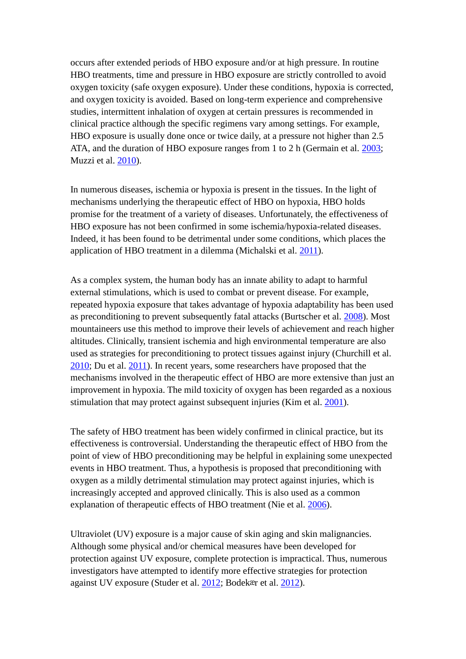occurs after extended periods of HBO exposure and/or at high pressure. In routine HBO treatments, time and pressure in HBO exposure are strictly controlled to avoid oxygen toxicity (safe oxygen exposure). Under these conditions, hypoxia is corrected, and oxygen toxicity is avoided. Based on long-term experience and comprehensive studies, intermittent inhalation of oxygen at certain pressures is recommended in clinical practice although the specific regimens vary among settings. For example, HBO exposure is usually done once or twice daily, at a pressure not higher than 2.5 ATA, and the duration of HBO exposure ranges from 1 to 2 h (Germain et al. [2003;](https://www.ncbi.nlm.nih.gov/pmc/articles/PMC3581630/#CR8) Muzzi et al. [2010\)](https://www.ncbi.nlm.nih.gov/pmc/articles/PMC3581630/#CR15).

In numerous diseases, ischemia or hypoxia is present in the tissues. In the light of mechanisms underlying the therapeutic effect of HBO on hypoxia, HBO holds promise for the treatment of a variety of diseases. Unfortunately, the effectiveness of HBO exposure has not been confirmed in some ischemia/hypoxia-related diseases. Indeed, it has been found to be detrimental under some conditions, which places the application of HBO treatment in a dilemma (Michalski et al. [2011\)](https://www.ncbi.nlm.nih.gov/pmc/articles/PMC3581630/#CR14).

As a complex system, the human body has an innate ability to adapt to harmful external stimulations, which is used to combat or prevent disease. For example, repeated hypoxia exposure that takes advantage of hypoxia adaptability has been used as preconditioning to prevent subsequently fatal attacks (Burtscher et al. [2008\)](https://www.ncbi.nlm.nih.gov/pmc/articles/PMC3581630/#CR3). Most mountaineers use this method to improve their levels of achievement and reach higher altitudes. Clinically, transient ischemia and high environmental temperature are also used as strategies for preconditioning to protect tissues against injury (Churchill et al. [2010;](https://www.ncbi.nlm.nih.gov/pmc/articles/PMC3581630/#CR4) Du et al. [2011\)](https://www.ncbi.nlm.nih.gov/pmc/articles/PMC3581630/#CR5). In recent years, some researchers have proposed that the mechanisms involved in the therapeutic effect of HBO are more extensive than just an improvement in hypoxia. The mild toxicity of oxygen has been regarded as a noxious stimulation that may protect against subsequent injuries (Kim et al. [2001\)](https://www.ncbi.nlm.nih.gov/pmc/articles/PMC3581630/#CR12).

The safety of HBO treatment has been widely confirmed in clinical practice, but its effectiveness is controversial. Understanding the therapeutic effect of HBO from the point of view of HBO preconditioning may be helpful in explaining some unexpected events in HBO treatment. Thus, a hypothesis is proposed that preconditioning with oxygen as a mildly detrimental stimulation may protect against injuries, which is increasingly accepted and approved clinically. This is also used as a common explanation of therapeutic effects of HBO treatment (Nie et al. [2006\)](https://www.ncbi.nlm.nih.gov/pmc/articles/PMC3581630/#CR16).

Ultraviolet (UV) exposure is a major cause of skin aging and skin malignancies. Although some physical and/or chemical measures have been developed for protection against UV exposure, complete protection is impractical. Thus, numerous investigators have attempted to identify more effective strategies for protection against UV exposure (Studer et al. [2012;](https://www.ncbi.nlm.nih.gov/pmc/articles/PMC3581630/#CR18) Bodekær et al. [2012\)](https://www.ncbi.nlm.nih.gov/pmc/articles/PMC3581630/#CR2).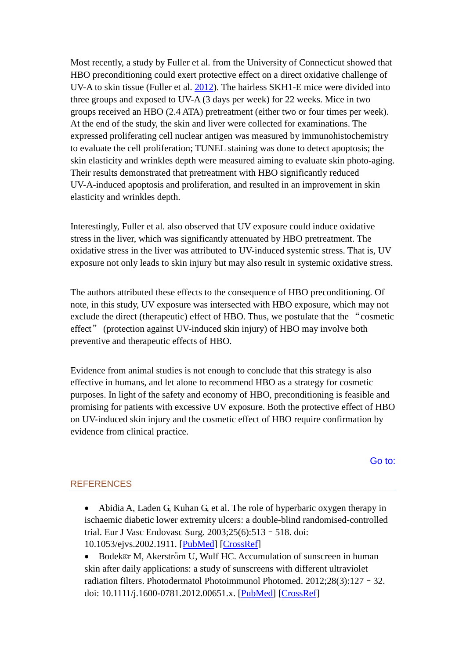Most recently, a study by Fuller et al. from the University of Connecticut showed that HBO preconditioning could exert protective effect on a direct oxidative challenge of UV-A to skin tissue (Fuller et al. [2012\)](https://www.ncbi.nlm.nih.gov/pmc/articles/PMC3581630/#CR7). The hairless SKH1-E mice were divided into three groups and exposed to UV-A (3 days per week) for 22 weeks. Mice in two groups received an HBO (2.4 ATA) pretreatment (either two or four times per week). At the end of the study, the skin and liver were collected for examinations. The expressed proliferating cell nuclear antigen was measured by immunohistochemistry to evaluate the cell proliferation; TUNEL staining was done to detect apoptosis; the skin elasticity and wrinkles depth were measured aiming to evaluate skin photo-aging. Their results demonstrated that pretreatment with HBO significantly reduced UV-A-induced apoptosis and proliferation, and resulted in an improvement in skin elasticity and wrinkles depth.

Interestingly, Fuller et al. also observed that UV exposure could induce oxidative stress in the liver, which was significantly attenuated by HBO pretreatment. The oxidative stress in the liver was attributed to UV-induced systemic stress. That is, UV exposure not only leads to skin injury but may also result in systemic oxidative stress.

The authors attributed these effects to the consequence of HBO preconditioning. Of note, in this study, UV exposure was intersected with HBO exposure, which may not exclude the direct (therapeutic) effect of HBO. Thus, we postulate that the "cosmetic effect" (protection against UV-induced skin injury) of HBO may involve both preventive and therapeutic effects of HBO.

Evidence from animal studies is not enough to conclude that this strategy is also effective in humans, and let alone to recommend HBO as a strategy for cosmetic purposes. In light of the safety and economy of HBO, preconditioning is feasible and promising for patients with excessive UV exposure. Both the protective effect of HBO on UV-induced skin injury and the cosmetic effect of HBO require confirmation by evidence from clinical practice.

[Go to:](https://www.ncbi.nlm.nih.gov/pmc/articles/PMC3581630/)

## **REFERENCES**

• Abidia A, Laden G, Kuhan G, et al. The role of hyperbaric oxygen therapy in ischaemic diabetic lower extremity ulcers: a double-blind randomised-controlled trial. Eur J Vasc Endovasc Surg. 2003;25(6):513–518. doi: 10.1053/ejvs.2002.1911. [\[PubMed\]](https://www.ncbi.nlm.nih.gov/pubmed/12787692) [\[CrossRef\]](https://dx.doi.org/10.1053/ejvs.2002.1911)

• Bodekær M, Akerström U, Wulf HC. Accumulation of sunscreen in human skin after daily applications: a study of sunscreens with different ultraviolet radiation filters. Photodermatol Photoimmunol Photomed. 2012;28(3):127–32. doi: 10.1111/j.1600-0781.2012.00651.x. [\[PubMed\]](https://www.ncbi.nlm.nih.gov/pubmed/22548393) [\[CrossRef\]](https://dx.doi.org/10.1111/j.1600-0781.2012.00651.x)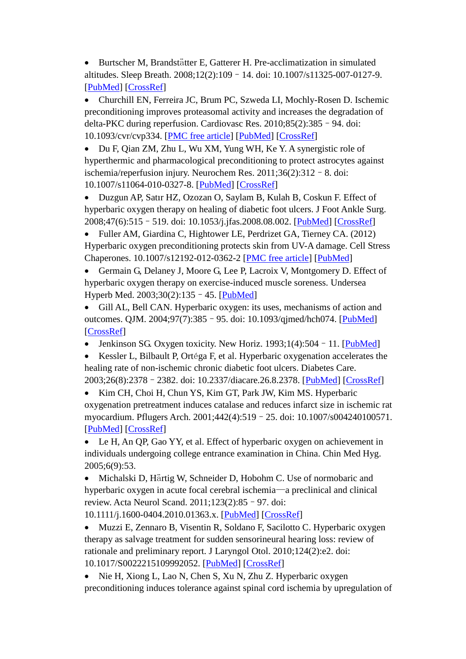• Burtscher M, Brandstätter E, Gatterer H. Pre-acclimatization in simulated altitudes. Sleep Breath. 2008;12(2):109–14. doi: 10.1007/s11325-007-0127-9. [\[PubMed\]](https://www.ncbi.nlm.nih.gov/pubmed/18030513) [\[CrossRef\]](https://dx.doi.org/10.1007/s11325-007-0127-9)

• Churchill EN, Ferreira JC, Brum PC, Szweda LI, Mochly-Rosen D. Ischemic preconditioning improves proteasomal activity and increases the degradation of delta-PKC during reperfusion. Cardiovasc Res. 2010;85(2):385–94. doi: 10.1093/cvr/cvp334. [\[PMC free article\]](https://www.ncbi.nlm.nih.gov/pmc/articles/PMC2797452/) [\[PubMed\]](https://www.ncbi.nlm.nih.gov/pubmed/19820255) [\[CrossRef\]](https://dx.doi.org/10.1093/cvr/cvp334)

• Du F, Qian ZM, Zhu L, Wu XM, Yung WH, Ke Y. A synergistic role of hyperthermic and pharmacological preconditioning to protect astrocytes against ischemia/reperfusion injury. Neurochem Res. 2011;36(2):312–8. doi: 10.1007/s11064-010-0327-8. [\[PubMed\]](https://www.ncbi.nlm.nih.gov/pubmed/21127970) [\[CrossRef\]](https://dx.doi.org/10.1007/s11064-010-0327-8)

• Duzgun AP, Satır HZ, Ozozan O, Saylam B, Kulah B, Coskun F. Effect of hyperbaric oxygen therapy on healing of diabetic foot ulcers. J Foot Ankle Surg. 2008;47(6):515–519. doi: 10.1053/j.jfas.2008.08.002. [\[PubMed\]](https://www.ncbi.nlm.nih.gov/pubmed/19239860) [\[CrossRef\]](https://dx.doi.org/10.1053/j.jfas.2008.08.002)

• Fuller AM, Giardina C, Hightower LE, Perdrizet GA, Tierney CA. (2012) Hyperbaric oxygen preconditioning protects skin from UV-A damage. Cell Stress Chaperones. 10.1007/s12192-012-0362-2 [\[PMC free article\]](https://www.ncbi.nlm.nih.gov/pmc/articles/PMC3508122/) [\[PubMed\]](https://www.ncbi.nlm.nih.gov/pubmed/22855227)

• Germain G, Delaney J, Moore G, Lee P, Lacroix V, Montgomery D. Effect of hyperbaric oxygen therapy on exercise-induced muscle soreness. Undersea Hyperb Med. 2003;30(2):135–45. [\[PubMed\]](https://www.ncbi.nlm.nih.gov/pubmed/12964857)

• Gill AL, Bell CAN. Hyperbaric oxygen: its uses, mechanisms of action and outcomes. QJM. 2004;97(7):385–95. doi: 10.1093/qjmed/hch074. [\[PubMed\]](https://www.ncbi.nlm.nih.gov/pubmed/15208426) [\[CrossRef\]](https://dx.doi.org/10.1093/qjmed/hch074)

• Jenkinson SG. Oxygen toxicity. New Horiz. 1993;1(4):504 - 11. [\[PubMed\]](https://www.ncbi.nlm.nih.gov/pubmed/8087571)

• Kessler L, Bilbault P, Ortéga F, et al. Hyperbaric oxygenation accelerates the healing rate of non-ischemic chronic diabetic foot ulcers. Diabetes Care. 2003;26(8):2378–2382. doi: 10.2337/diacare.26.8.2378. [\[PubMed\]](https://www.ncbi.nlm.nih.gov/pubmed/12882865) [\[CrossRef\]](https://dx.doi.org/10.2337/diacare.26.8.2378)

• Kim CH, Choi H, Chun YS, Kim GT, Park JW, Kim MS. Hyperbaric oxygenation pretreatment induces catalase and reduces infarct size in ischemic rat myocardium. Pflugers Arch. 2001;442(4):519–25. doi: 10.1007/s004240100571. [\[PubMed\]](https://www.ncbi.nlm.nih.gov/pubmed/11510883) [\[CrossRef\]](https://dx.doi.org/10.1007/s004240100571)

Le H, An QP, Gao YY, et al. Effect of hyperbaric oxygen on achievement in individuals undergoing college entrance examination in China. Chin Med Hyg. 2005;6(9):53.

• Michalski D, Härtig W, Schneider D, Hobohm C. Use of normobaric and hyperbaric oxygen in acute focal cerebral ischemia—a preclinical and clinical review. Acta Neurol Scand. 2011;123(2):85–97. doi:

10.1111/j.1600-0404.2010.01363.x. [\[PubMed\]](https://www.ncbi.nlm.nih.gov/pubmed/20456243) [\[CrossRef\]](https://dx.doi.org/10.1111/j.1600-0404.2010.01363.x)

• Muzzi E, Zennaro B, Visentin R, Soldano F, Sacilotto C. Hyperbaric oxygen therapy as salvage treatment for sudden sensorineural hearing loss: review of rationale and preliminary report. J Laryngol Otol. 2010;124(2):e2. doi: 10.1017/S0022215109992052. [\[PubMed\]](https://www.ncbi.nlm.nih.gov/pubmed/19943989) [\[CrossRef\]](https://dx.doi.org/10.1017/S0022215109992052)

• Nie H, Xiong L, Lao N, Chen S, Xu N, Zhu Z. Hyperbaric oxygen preconditioning induces tolerance against spinal cord ischemia by upregulation of